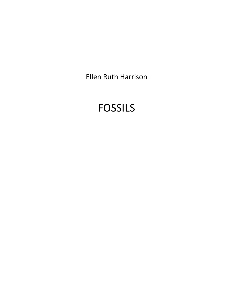Ellen Ruth Harrison

## FOSSILS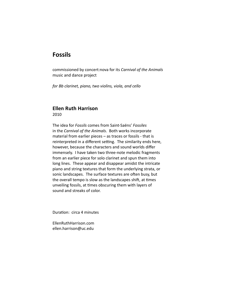## **Fossils**

commissioned by concert:nova for its *Carnival of the Animals* music and dance project

for Bb clarinet, piano, two violins, viola, and cello

## **Ellen Ruth Harrison** 2010

The idea for *Fossils* comes from Saint-Saëns' Fossiles in the *Carnival of the Animals*. Both works incorporate material from earlier pieces  $-$  as traces or fossils - that is reinterpreted in a different setting. The similarity ends here, however, because the characters and sound worlds differ immensely. I have taken two three-note melodic fragments from an earlier piece for solo clarinet and spun them into long lines. These appear and disappear amidst the intricate piano and string textures that form the underlying strata, or sonic landscapes. The surface textures are often busy, but the overall tempo is slow as the landscapes shift, at times unveiling fossils, at times obscuring them with layers of sound and streaks of color.

Duration: circa 4 minutes

EllenRuthHarrison.com ellen.harrison@uc.edu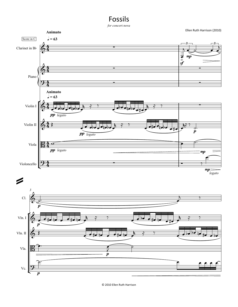## Fossils

*for concert:nova*



© 2010 Ellen Ruth Harrison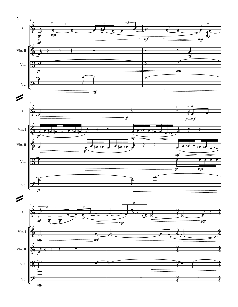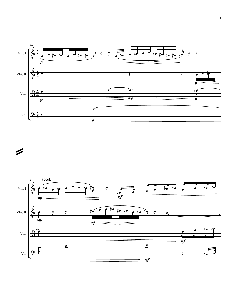



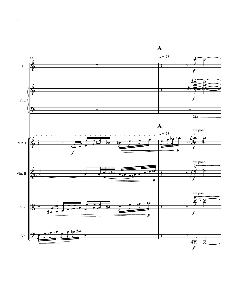

 $\overline{4}$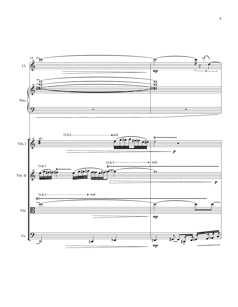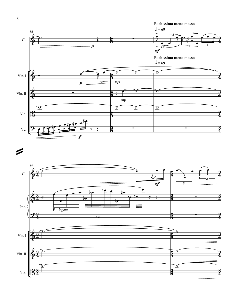



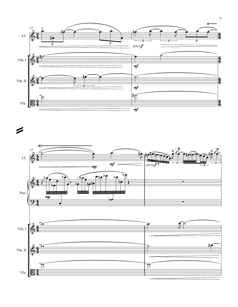

=



7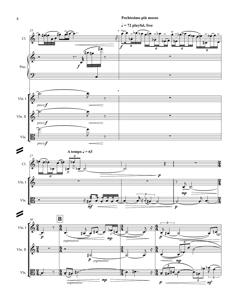Pochissimo più mosso

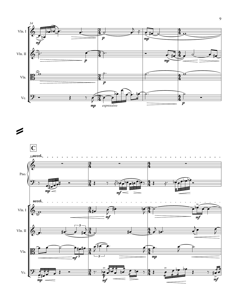

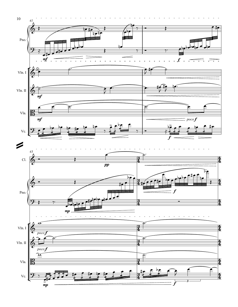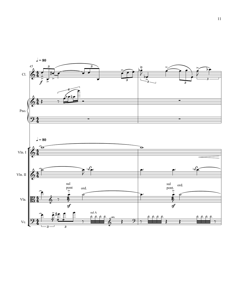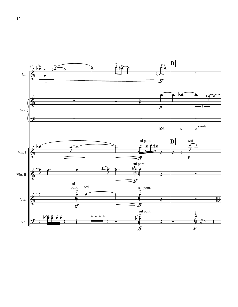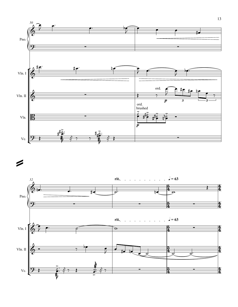

 $\blacktriangleright$ 

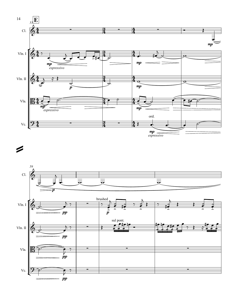

=